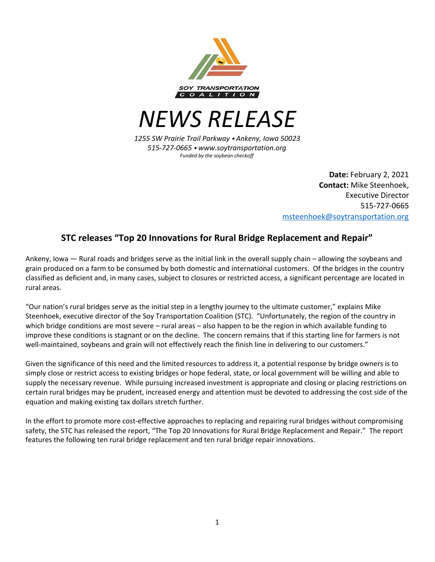

*NEWS RELEASE*

*1255 SW Prairie Trail Parkway* ⬩ *Ankeny, Iowa 50023 515-727-0665* ⬩ *www.soytransportation.org Funded by the soybean checkoff*

> **Date:** February 2, 2021 **Contact:** Mike Steenhoek, Executive Director 515-727-0665 [msteenhoek@soytransportation.org](mailto:msteenhoek@soytransportation.org)

# **STC releases "Top 20 Innovations for Rural Bridge Replacement and Repair"**

Ankeny, Iowa — Rural roads and bridges serve as the initial link in the overall supply chain – allowing the soybeans and grain produced on a farm to be consumed by both domestic and international customers. Of the bridges in the country classified as deficient and, in many cases, subject to closures or restricted access, a significant percentage are located in rural areas.

"Our nation's rural bridges serve as the initial step in a lengthy journey to the ultimate customer," explains Mike Steenhoek, executive director of the Soy Transportation Coalition (STC). "Unfortunately, the region of the country in which bridge conditions are most severe – rural areas – also happen to be the region in which available funding to improve these conditions is stagnant or on the decline. The concern remains that if this starting line for farmers is not well-maintained, soybeans and grain will not effectively reach the finish line in delivering to our customers."

Given the significance of this need and the limited resources to address it, a potential response by bridge owners is to simply close or restrict access to existing bridges or hope federal, state, or local government will be willing and able to supply the necessary revenue. While pursuing increased investment is appropriate and closing or placing restrictions on certain rural bridges may be prudent, increased energy and attention must be devoted to addressing the cost side of the equation and making existing tax dollars stretch further.

In the effort to promote more cost-effective approaches to replacing and repairing rural bridges without compromising safety, the STC has released the report, "The Top 20 Innovations for Rural Bridge Replacement and Repair." The report features the following ten rural bridge replacement and ten rural bridge repair innovations.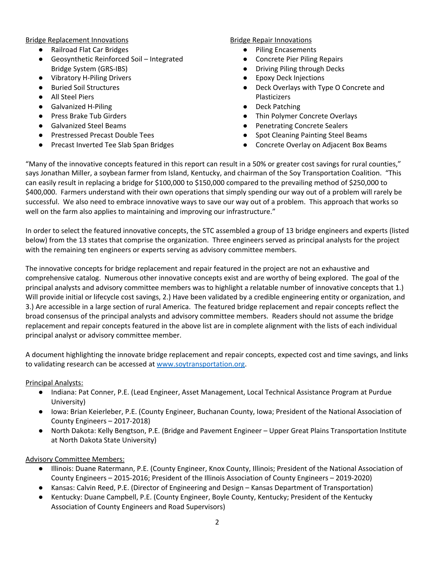Bridge Replacement Innovations

- Railroad Flat Car Bridges
- Geosynthetic Reinforced Soil Integrated Bridge System (GRS-IBS)
- Vibratory H-Piling Drivers
- Buried Soil Structures
- All Steel Piers
- Galvanized H-Piling
- Press Brake Tub Girders
- Galvanized Steel Beams
- Prestressed Precast Double Tees
- Precast Inverted Tee Slab Span Bridges

#### Bridge Repair Innovations

- Piling Encasements
- Concrete Pier Piling Repairs
- Driving Piling through Decks
- **Epoxy Deck Injections**
- Deck Overlays with Type O Concrete and Plasticizers
- **Deck Patching**
- Thin Polymer Concrete Overlays
- Penetrating Concrete Sealers
- Spot Cleaning Painting Steel Beams
- Concrete Overlay on Adjacent Box Beams

"Many of the innovative concepts featured in this report can result in a 50% or greater cost savings for rural counties," says Jonathan Miller, a soybean farmer from Island, Kentucky, and chairman of the Soy Transportation Coalition. "This can easily result in replacing a bridge for \$100,000 to \$150,000 compared to the prevailing method of \$250,000 to \$400,000. Farmers understand with their own operations that simply spending our way out of a problem will rarely be successful. We also need to embrace innovative ways to save our way out of a problem. This approach that works so well on the farm also applies to maintaining and improving our infrastructure."

In order to select the featured innovative concepts, the STC assembled a group of 13 bridge engineers and experts (listed below) from the 13 states that comprise the organization. Three engineers served as principal analysts for the project with the remaining ten engineers or experts serving as advisory committee members.

The innovative concepts for bridge replacement and repair featured in the project are not an exhaustive and comprehensive catalog. Numerous other innovative concepts exist and are worthy of being explored. The goal of the principal analysts and advisory committee members was to highlight a relatable number of innovative concepts that 1.) Will provide initial or lifecycle cost savings, 2.) Have been validated by a credible engineering entity or organization, and 3.) Are accessible in a large section of rural America. The featured bridge replacement and repair concepts reflect the broad consensus of the principal analysts and advisory committee members. Readers should not assume the bridge replacement and repair concepts featured in the above list are in complete alignment with the lists of each individual principal analyst or advisory committee member.

A document highlighting the innovate bridge replacement and repair concepts, expected cost and time savings, and links to validating research can be accessed at [www.soytransportation.org.](http://www.soytransportation.org/)

### Principal Analysts:

- Indiana: Pat Conner, P.E. (Lead Engineer, Asset Management, Local Technical Assistance Program at Purdue University)
- Iowa: Brian Keierleber, P.E. (County Engineer, Buchanan County, Iowa; President of the National Association of County Engineers – 2017-2018)
- North Dakota: Kelly Bengtson, P.E. (Bridge and Pavement Engineer Upper Great Plains Transportation Institute at North Dakota State University)

## Advisory Committee Members:

- Illinois: Duane Ratermann, P.E. (County Engineer, Knox County, Illinois; President of the National Association of County Engineers – 2015-2016; President of the Illinois Association of County Engineers – 2019-2020)
- Kansas: Calvin Reed, P.E. (Director of Engineering and Design Kansas Department of Transportation)
- Kentucky: Duane Campbell, P.E. (County Engineer, Boyle County, Kentucky; President of the Kentucky Association of County Engineers and Road Supervisors)